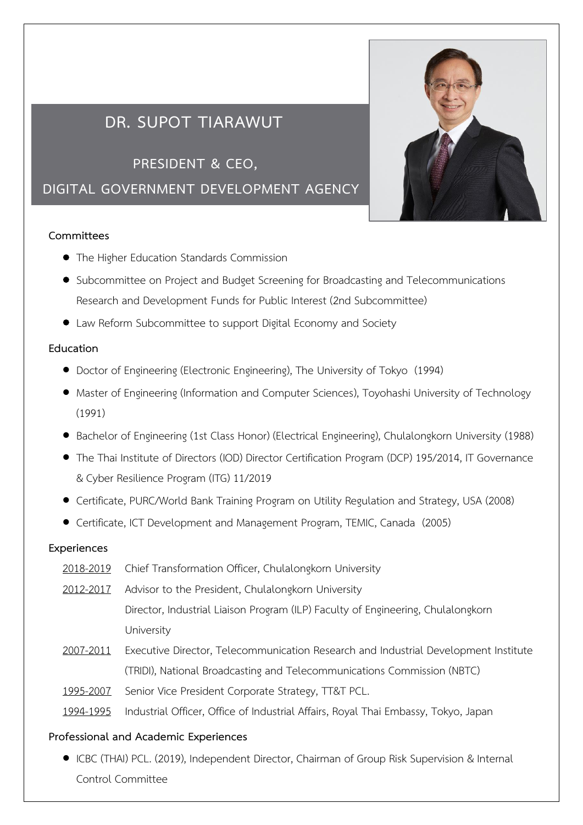# **DR. SUPOT TIARAWUT**

**PRESIDENT & CEO,** 

**DIGITAL GOVERNMENT DEVELOPMENT AGENCY**

### **Committees**

- The Higher Education Standards Commission
- Subcommittee on Project and Budget Screening for Broadcasting and Telecommunications Research and Development Funds for Public Interest (2nd Subcommittee)
- Law Reform Subcommittee to support Digital Economy and Society

### **Education**

- Doctor of Engineering (Electronic Engineering), The University of Tokyo (1994)
- Master of Engineering (Information and Computer Sciences), Toyohashi University of Technology (1991)
- Bachelor of Engineering (1st Class Honor) (Electrical Engineering), Chulalongkorn University (1988)
- The Thai Institute of Directors (IOD) Director Certification Program (DCP) 195/2014, IT Governance & Cyber Resilience Program (ITG) 11/2019
- Certificate, PURC/World Bank Training Program on Utility Regulation and Strategy, USA (2008)
- Certificate, ICT Development and Management Program, TEMIC, Canada (2005)

### **Experiences**

- 2018-2019 Chief Transformation Officer, Chulalongkorn University 2012-2017 Advisor to the President, Chulalongkorn University Director, Industrial Liaison Program (ILP) Faculty of Engineering, Chulalongkorn University 2007-2011 Executive Director, Telecommunication Research and Industrial Development Institute (TRIDI), National Broadcasting and Telecommunications Commission (NBTC)
- 1995-2007 Senior Vice President Corporate Strategy, TT&T PCL.
- 1994-1995 Industrial Officer, Office of Industrial Affairs, Royal Thai Embassy, Tokyo, Japan

### **Professional and Academic Experiences**

• ICBC (THAI) PCL. (2019), Independent Director, Chairman of Group Risk Supervision & Internal Control Committee